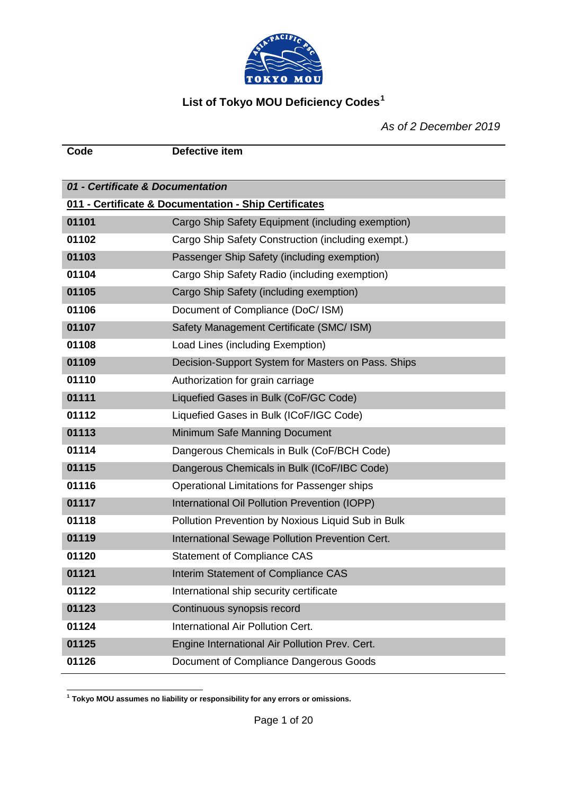

# **List of Tokyo MOU Deficiency Codes[1](#page-0-0)**

**Code Defective item**

*As of 2 December 2019*

| 01 - Certificate & Documentation |                                                       |
|----------------------------------|-------------------------------------------------------|
|                                  | 011 - Certificate & Documentation - Ship Certificates |
| 01101                            | Cargo Ship Safety Equipment (including exemption)     |
| 01102                            | Cargo Ship Safety Construction (including exempt.)    |
| 01103                            | Passenger Ship Safety (including exemption)           |
| 01104                            | Cargo Ship Safety Radio (including exemption)         |
| 01105                            | Cargo Ship Safety (including exemption)               |
| 01106                            | Document of Compliance (DoC/ ISM)                     |
| 01107                            | Safety Management Certificate (SMC/ ISM)              |
| 01108                            | Load Lines (including Exemption)                      |
| 01109                            | Decision-Support System for Masters on Pass. Ships    |
| 01110                            | Authorization for grain carriage                      |
| 01111                            | Liquefied Gases in Bulk (CoF/GC Code)                 |
| 01112                            | Liquefied Gases in Bulk (ICoF/IGC Code)               |
| 01113                            | Minimum Safe Manning Document                         |
| 01114                            | Dangerous Chemicals in Bulk (CoF/BCH Code)            |
| 01115                            | Dangerous Chemicals in Bulk (ICoF/IBC Code)           |
| 01116                            | Operational Limitations for Passenger ships           |
| 01117                            | International Oil Pollution Prevention (IOPP)         |
| 01118                            | Pollution Prevention by Noxious Liquid Sub in Bulk    |
| 01119                            | International Sewage Pollution Prevention Cert.       |
| 01120                            | <b>Statement of Compliance CAS</b>                    |
| 01121                            | Interim Statement of Compliance CAS                   |
| 01122                            | International ship security certificate               |
| 01123                            | Continuous synopsis record                            |
| 01124                            | International Air Pollution Cert.                     |
| 01125                            | Engine International Air Pollution Prev. Cert.        |
| 01126                            | Document of Compliance Dangerous Goods                |

<span id="page-0-0"></span>**<sup>1</sup> Tokyo MOU assumes no liability or responsibility for any errors or omissions.**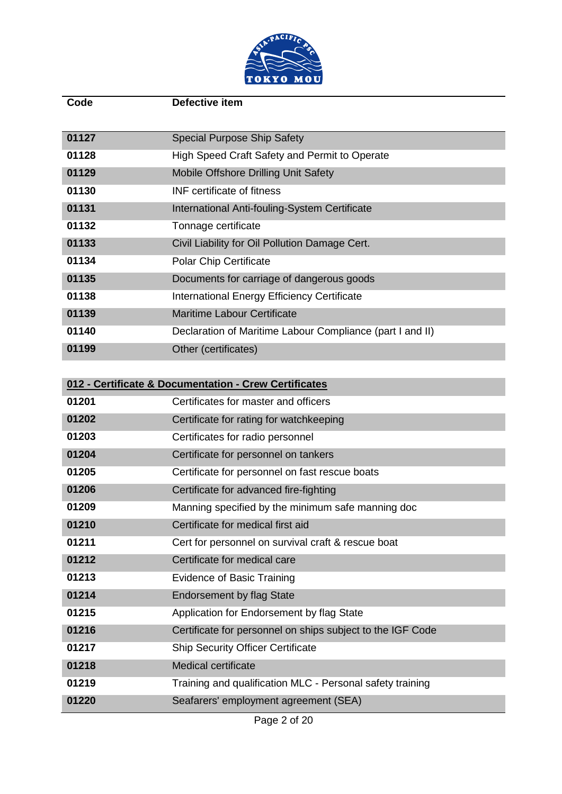

| Code  | Defective item                                             |
|-------|------------------------------------------------------------|
|       |                                                            |
| 01127 | <b>Special Purpose Ship Safety</b>                         |
| 01128 | High Speed Craft Safety and Permit to Operate              |
| 01129 | Mobile Offshore Drilling Unit Safety                       |
| 01130 | <b>INF</b> certificate of fitness                          |
| 01131 | International Anti-fouling-System Certificate              |
| 01132 | Tonnage certificate                                        |
| 01133 | Civil Liability for Oil Pollution Damage Cert.             |
| 01134 | <b>Polar Chip Certificate</b>                              |
| 01135 | Documents for carriage of dangerous goods                  |
| 01138 | <b>International Energy Efficiency Certificate</b>         |
| 01139 | <b>Maritime Labour Certificate</b>                         |
| 01140 | Declaration of Maritime Labour Compliance (part I and II)  |
| 01199 | Other (certificates)                                       |
|       |                                                            |
|       | 012 - Certificate & Documentation - Crew Certificates      |
| 01201 | Certificates for master and officers                       |
| 01202 | Certificate for rating for watchkeeping                    |
| 01203 | Certificates for radio personnel                           |
| 01204 | Certificate for personnel on tankers                       |
| 01205 | Certificate for personnel on fast rescue boats             |
| 01206 | Certificate for advanced fire-fighting                     |
| 01209 | Manning specified by the minimum safe manning doc          |
| 01210 | Certificate for medical first aid                          |
| 01211 | Cert for personnel on survival craft & rescue boat         |
| 01212 | Certificate for medical care                               |
| 01213 | <b>Evidence of Basic Training</b>                          |
| 01214 | <b>Endorsement by flag State</b>                           |
| 01215 | Application for Endorsement by flag State                  |
| 01216 | Certificate for personnel on ships subject to the IGF Code |
| 01217 | <b>Ship Security Officer Certificate</b>                   |
| 01218 | Medical certificate                                        |
| 01219 | Training and qualification MLC - Personal safety training  |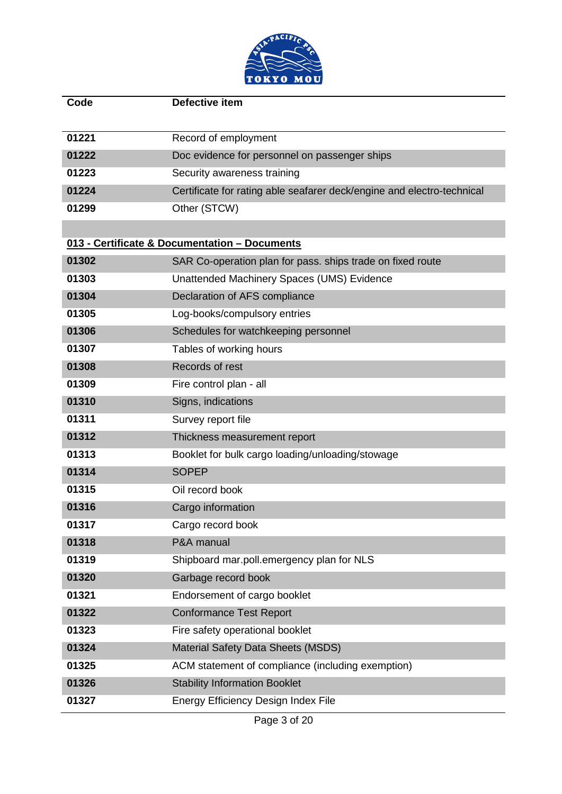

| Code  | <b>Defective item</b>                                                  |
|-------|------------------------------------------------------------------------|
| 01221 | Record of employment                                                   |
| 01222 | Doc evidence for personnel on passenger ships                          |
| 01223 | Security awareness training                                            |
| 01224 | Certificate for rating able seafarer deck/engine and electro-technical |
| 01299 | Other (STCW)                                                           |
|       |                                                                        |
|       | 013 - Certificate & Documentation - Documents                          |
| 01302 | SAR Co-operation plan for pass. ships trade on fixed route             |
| 01303 | Unattended Machinery Spaces (UMS) Evidence                             |
| 01304 | Declaration of AFS compliance                                          |
| 01305 | Log-books/compulsory entries                                           |
| 01306 | Schedules for watchkeeping personnel                                   |
| 01307 | Tables of working hours                                                |
| 01308 | Records of rest                                                        |
| 01309 | Fire control plan - all                                                |
| 01310 | Signs, indications                                                     |
| 01311 | Survey report file                                                     |
| 01312 | Thickness measurement report                                           |
| 01313 | Booklet for bulk cargo loading/unloading/stowage                       |
| 01314 | <b>SOPEP</b>                                                           |
| 01315 | Oil record book                                                        |
| 01316 | Cargo information                                                      |
| 01317 | Cargo record book                                                      |
| 01318 | P&A manual                                                             |
| 01319 | Shipboard mar.poll.emergency plan for NLS                              |
| 01320 | Garbage record book                                                    |
| 01321 | Endorsement of cargo booklet                                           |
| 01322 | <b>Conformance Test Report</b>                                         |
| 01323 | Fire safety operational booklet                                        |
| 01324 | <b>Material Safety Data Sheets (MSDS)</b>                              |
| 01325 | ACM statement of compliance (including exemption)                      |
| 01326 | <b>Stability Information Booklet</b>                                   |
| 01327 | Energy Efficiency Design Index File                                    |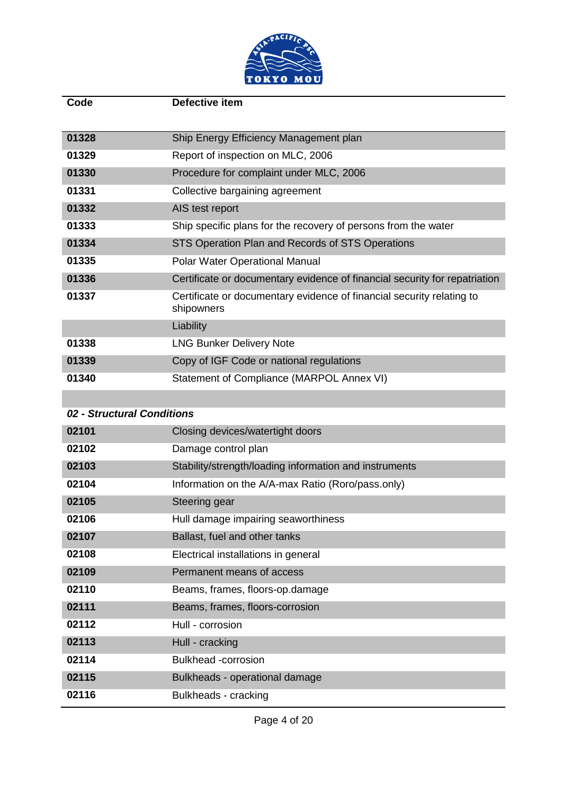

| Code                       | Defective item                                                                      |
|----------------------------|-------------------------------------------------------------------------------------|
|                            |                                                                                     |
| 01328                      | Ship Energy Efficiency Management plan                                              |
| 01329                      | Report of inspection on MLC, 2006                                                   |
| 01330                      | Procedure for complaint under MLC, 2006                                             |
| 01331                      | Collective bargaining agreement                                                     |
| 01332                      | AIS test report                                                                     |
| 01333                      | Ship specific plans for the recovery of persons from the water                      |
| 01334                      | STS Operation Plan and Records of STS Operations                                    |
| 01335                      | Polar Water Operational Manual                                                      |
| 01336                      | Certificate or documentary evidence of financial security for repatriation          |
| 01337                      | Certificate or documentary evidence of financial security relating to<br>shipowners |
|                            | Liability                                                                           |
| 01338                      | <b>LNG Bunker Delivery Note</b>                                                     |
| 01339                      | Copy of IGF Code or national regulations                                            |
| 01340                      | Statement of Compliance (MARPOL Annex VI)                                           |
|                            |                                                                                     |
| 02 - Structural Conditions |                                                                                     |
| 02101                      | Closing devices/watertight doors                                                    |

| 02101 | Closing devices/watertight doors                       |
|-------|--------------------------------------------------------|
| 02102 | Damage control plan                                    |
| 02103 | Stability/strength/loading information and instruments |
| 02104 | Information on the A/A-max Ratio (Roro/pass.only)      |
| 02105 | Steering gear                                          |
| 02106 | Hull damage impairing seaworthiness                    |
| 02107 | Ballast, fuel and other tanks                          |
| 02108 | Electrical installations in general                    |
| 02109 | Permanent means of access                              |
| 02110 | Beams, frames, floors-op.damage                        |
| 02111 | Beams, frames, floors-corrosion                        |
| 02112 | Hull - corrosion                                       |
| 02113 | Hull - cracking                                        |
| 02114 | <b>Bulkhead</b> -corrosion                             |
| 02115 | Bulkheads - operational damage                         |
| 02116 | Bulkheads - cracking                                   |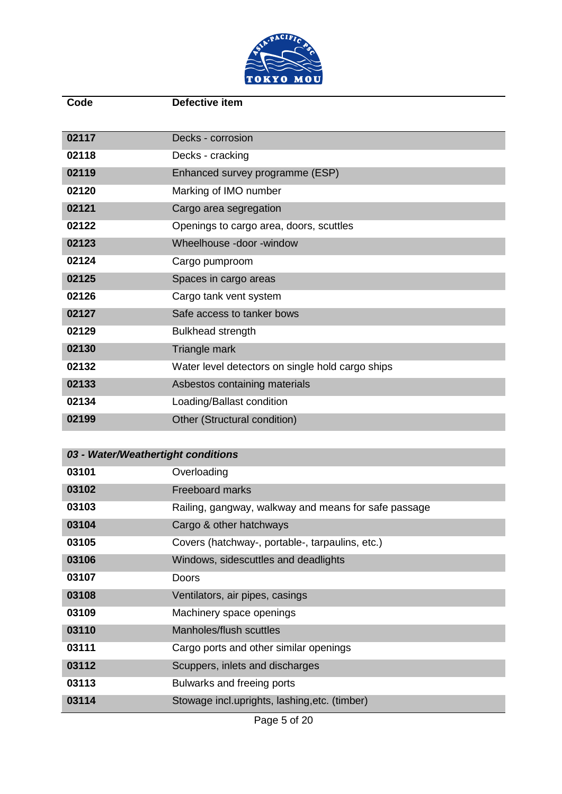

| Code  | Defective item                                   |
|-------|--------------------------------------------------|
|       |                                                  |
| 02117 | Decks - corrosion                                |
| 02118 | Decks - cracking                                 |
| 02119 | Enhanced survey programme (ESP)                  |
| 02120 | Marking of IMO number                            |
| 02121 | Cargo area segregation                           |
| 02122 | Openings to cargo area, doors, scuttles          |
| 02123 | Wheelhouse -door -window                         |
| 02124 | Cargo pumproom                                   |
| 02125 | Spaces in cargo areas                            |
| 02126 | Cargo tank vent system                           |
| 02127 | Safe access to tanker bows                       |
| 02129 | <b>Bulkhead strength</b>                         |
| 02130 | Triangle mark                                    |
| 02132 | Water level detectors on single hold cargo ships |
| 02133 | Asbestos containing materials                    |
| 02134 | Loading/Ballast condition                        |
| 02199 | Other (Structural condition)                     |

| 03 - Water/Weathertight conditions |                                                                                                     |
|------------------------------------|-----------------------------------------------------------------------------------------------------|
| 03101                              | Overloading                                                                                         |
| 03102                              | <b>Freeboard marks</b>                                                                              |
| 03103                              | Railing, gangway, walkway and means for safe passage                                                |
| 03104                              | Cargo & other hatchways                                                                             |
| 03105                              | Covers (hatchway-, portable-, tarpaulins, etc.)                                                     |
| 03106                              | Windows, sidescuttles and deadlights                                                                |
| 03107                              | Doors                                                                                               |
| 03108                              | Ventilators, air pipes, casings                                                                     |
| 03109                              | Machinery space openings                                                                            |
| 03110                              | Manholes/flush scuttles                                                                             |
| 03111                              | Cargo ports and other similar openings                                                              |
| 03112                              | Scuppers, inlets and discharges                                                                     |
| 03113                              | Bulwarks and freeing ports                                                                          |
| 03114                              | Stowage incl.uprights, lashing, etc. (timber)<br>$D_{0}$ $\alpha$ $\alpha$ $E_{0}$ $\alpha$ $\beta$ |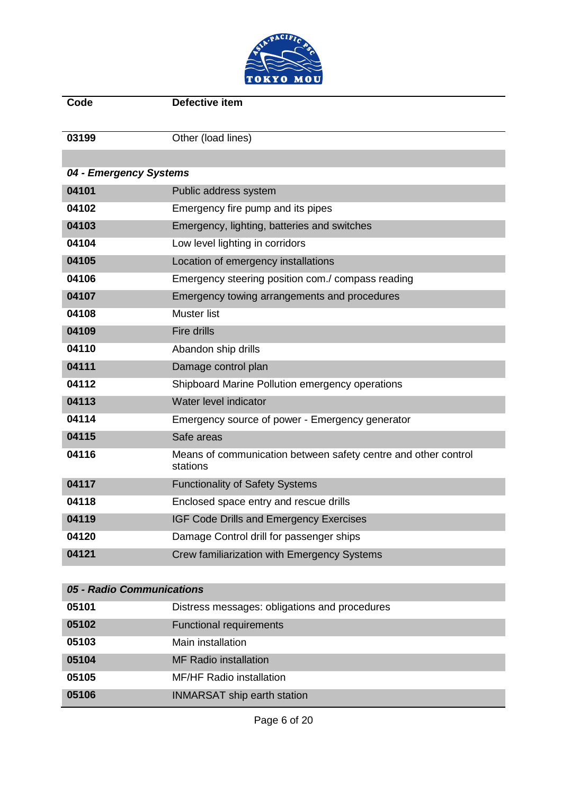

| Code                   | Defective item                                                             |
|------------------------|----------------------------------------------------------------------------|
|                        |                                                                            |
| 03199                  | Other (load lines)                                                         |
|                        |                                                                            |
| 04 - Emergency Systems |                                                                            |
| 04101                  | Public address system                                                      |
| 04102                  | Emergency fire pump and its pipes                                          |
| 04103                  | Emergency, lighting, batteries and switches                                |
| 04104                  | Low level lighting in corridors                                            |
| 04105                  | Location of emergency installations                                        |
| 04106                  | Emergency steering position com./ compass reading                          |
| 04107                  | Emergency towing arrangements and procedures                               |
| 04108                  | <b>Muster list</b>                                                         |
| 04109                  | <b>Fire drills</b>                                                         |
| 04110                  | Abandon ship drills                                                        |
| 04111                  | Damage control plan                                                        |
| 04112                  | Shipboard Marine Pollution emergency operations                            |
| 04113                  | Water level indicator                                                      |
| 04114                  | Emergency source of power - Emergency generator                            |
| 04115                  | Safe areas                                                                 |
| 04116                  | Means of communication between safety centre and other control<br>stations |
| 04117                  | <b>Functionality of Safety Systems</b>                                     |
| 04118                  | Enclosed space entry and rescue drills                                     |
| 04119                  | IGF Code Drills and Emergency Exercises                                    |
| 04120                  | Damage Control drill for passenger ships                                   |
| 04121                  | Crew familiarization with Emergency Systems                                |
|                        |                                                                            |

# *05 - Radio Communications* Distress messages: obligations and procedures **Functional requirements**  Main installation MF Radio installation MF/HF Radio installation INMARSAT ship earth station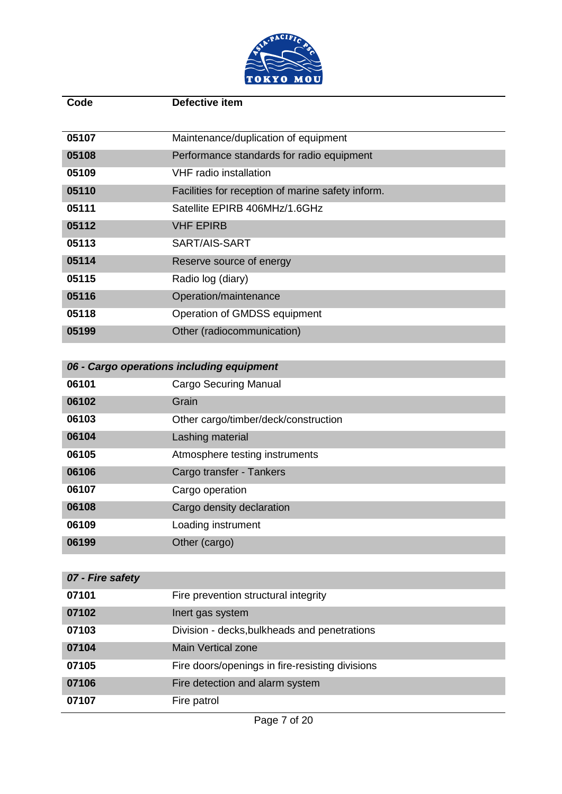

|                                           | Defective item                                    |
|-------------------------------------------|---------------------------------------------------|
|                                           |                                                   |
| 05107                                     | Maintenance/duplication of equipment              |
| 05108                                     | Performance standards for radio equipment         |
| <b>VHF</b> radio installation<br>05109    |                                                   |
| 05110                                     | Facilities for reception of marine safety inform. |
| 05111                                     | Satellite EPIRB 406MHz/1.6GHz                     |
| 05112<br><b>VHF EPIRB</b>                 |                                                   |
| 05113<br>SART/AIS-SART                    |                                                   |
| 05114<br>Reserve source of energy         |                                                   |
| 05115<br>Radio log (diary)                |                                                   |
| 05116<br>Operation/maintenance            |                                                   |
| 05118                                     | Operation of GMDSS equipment                      |
| 05199<br>Other (radiocommunication)       |                                                   |
|                                           |                                                   |
| 06 - Cargo operations including equipment |                                                   |
| 06101<br><b>Cargo Securing Manual</b>     |                                                   |
| Grain<br>06102                            |                                                   |
| 06103                                     | Other cargo/timber/deck/construction              |
| Lashing material<br>06104                 |                                                   |
| 06105                                     | Atmosphere testing instruments                    |
| 06106<br>Cargo transfer - Tankers         |                                                   |
| 06107<br>Cargo operation                  |                                                   |
| Cargo density declaration<br>06108        |                                                   |
| 06109<br>Loading instrument               |                                                   |
| 06199<br>Other (cargo)                    |                                                   |
|                                           |                                                   |
| 07 - Fire safety                          |                                                   |

| 07101 | Fire prevention structural integrity            |
|-------|-------------------------------------------------|
| 07102 | Inert gas system                                |
| 07103 | Division - decks, bulkheads and penetrations    |
| 07104 | <b>Main Vertical zone</b>                       |
| 07105 | Fire doors/openings in fire-resisting divisions |
| 07106 | Fire detection and alarm system                 |
| 07107 | Fire patrol                                     |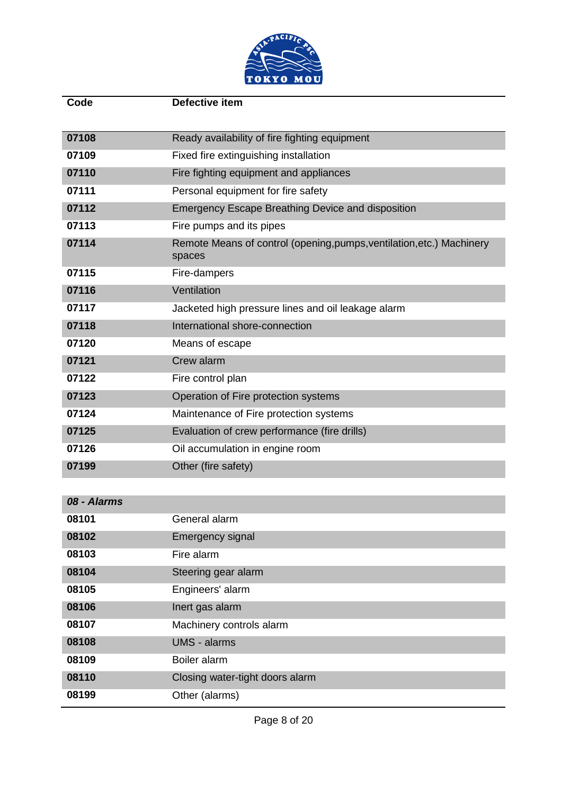

| Code  | Defective item                                                                  |
|-------|---------------------------------------------------------------------------------|
| 07108 | Ready availability of fire fighting equipment                                   |
| 07109 | Fixed fire extinguishing installation                                           |
| 07110 | Fire fighting equipment and appliances                                          |
| 07111 | Personal equipment for fire safety                                              |
| 07112 | <b>Emergency Escape Breathing Device and disposition</b>                        |
| 07113 | Fire pumps and its pipes                                                        |
| 07114 | Remote Means of control (opening, pumps, ventilation, etc.) Machinery<br>spaces |
| 07115 | Fire-dampers                                                                    |
| 07116 | Ventilation                                                                     |
| 07117 | Jacketed high pressure lines and oil leakage alarm                              |
| 07118 | International shore-connection                                                  |
| 07120 | Means of escape                                                                 |
| 07121 | Crew alarm                                                                      |
| 07122 | Fire control plan                                                               |
| 07123 | Operation of Fire protection systems                                            |
| 07124 | Maintenance of Fire protection systems                                          |
| 07125 | Evaluation of crew performance (fire drills)                                    |
| 07126 | Oil accumulation in engine room                                                 |
| 07199 | Other (fire safety)                                                             |

| 08 - Alarms |                                 |
|-------------|---------------------------------|
| 08101       | General alarm                   |
| 08102       | Emergency signal                |
| 08103       | Fire alarm                      |
| 08104       | Steering gear alarm             |
| 08105       | Engineers' alarm                |
| 08106       | Inert gas alarm                 |
| 08107       | Machinery controls alarm        |
| 08108       | <b>UMS - alarms</b>             |
| 08109       | Boiler alarm                    |
| 08110       | Closing water-tight doors alarm |
| 08199       | Other (alarms)                  |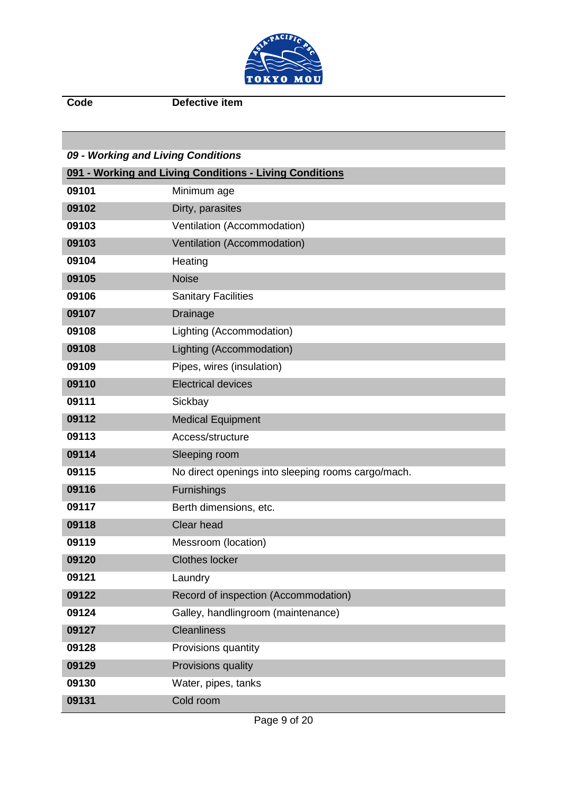

**Code Defective item**

| 09 - Working and Living Conditions |                                                         |
|------------------------------------|---------------------------------------------------------|
|                                    | 091 - Working and Living Conditions - Living Conditions |
| 09101                              | Minimum age                                             |
| 09102                              | Dirty, parasites                                        |
| 09103                              | Ventilation (Accommodation)                             |
| 09103                              | Ventilation (Accommodation)                             |
| 09104                              | Heating                                                 |
| 09105                              | <b>Noise</b>                                            |
| 09106                              | <b>Sanitary Facilities</b>                              |
| 09107                              | <b>Drainage</b>                                         |
| 09108                              | Lighting (Accommodation)                                |
| 09108                              | Lighting (Accommodation)                                |
| 09109                              | Pipes, wires (insulation)                               |
| 09110                              | <b>Electrical devices</b>                               |
| 09111                              | Sickbay                                                 |
| 09112                              | <b>Medical Equipment</b>                                |
| 09113                              | Access/structure                                        |
| 09114                              | Sleeping room                                           |
| 09115                              | No direct openings into sleeping rooms cargo/mach.      |
| 09116                              | Furnishings                                             |
| 09117                              | Berth dimensions, etc.                                  |
| 09118                              | <b>Clear head</b>                                       |
| 09119                              | Messroom (location)                                     |
| 09120                              | <b>Clothes locker</b>                                   |
| 09121                              | Laundry                                                 |
| 09122                              | Record of inspection (Accommodation)                    |
| 09124                              | Galley, handlingroom (maintenance)                      |
| 09127                              | <b>Cleanliness</b>                                      |
| 09128                              | Provisions quantity                                     |
| 09129                              | Provisions quality                                      |
| 09130                              | Water, pipes, tanks                                     |
| 09131                              | Cold room                                               |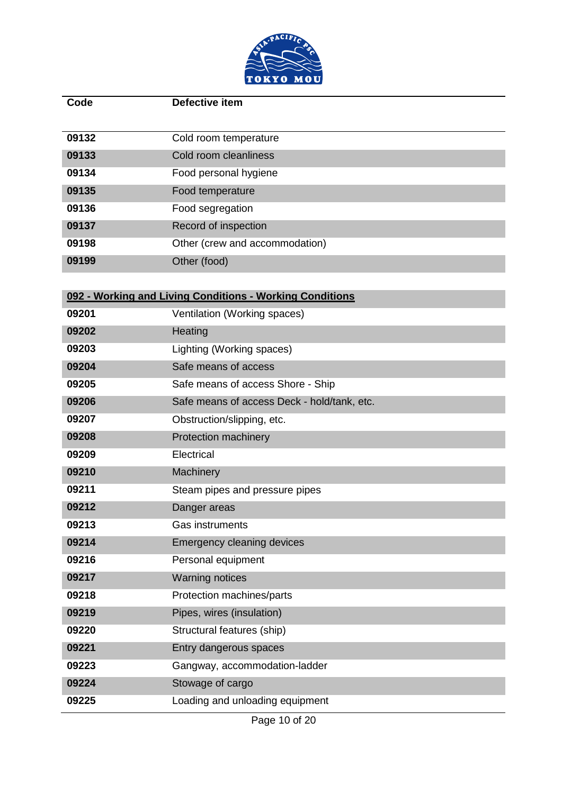

| Code  | <b>Defective item</b>                                    |
|-------|----------------------------------------------------------|
| 09132 | Cold room temperature                                    |
| 09133 | Cold room cleanliness                                    |
| 09134 | Food personal hygiene                                    |
| 09135 | Food temperature                                         |
| 09136 | Food segregation                                         |
| 09137 | Record of inspection                                     |
| 09198 | Other (crew and accommodation)                           |
| 09199 | Other (food)                                             |
|       |                                                          |
|       | 092 - Working and Living Conditions - Working Conditions |
| 09201 | Ventilation (Working spaces)                             |
| 09202 | Heating                                                  |
| 09203 | Lighting (Working spaces)                                |
| 09204 | Safe means of access                                     |
| 09205 | Safe means of access Shore - Ship                        |
| 09206 | Safe means of access Deck - hold/tank, etc.              |
| 09207 | Obstruction/slipping, etc.                               |
| 09208 | Protection machinery                                     |
| 09209 | Electrical                                               |
| 09210 | Machinery                                                |
| 09211 | Steam pipes and pressure pipes                           |
| 09212 | Danger areas                                             |
| 09213 | <b>Gas instruments</b>                                   |
| 09214 | Emergency cleaning devices                               |
| 09216 | Personal equipment                                       |
| 09217 | <b>Warning notices</b>                                   |
| 09218 | Protection machines/parts                                |
| 09219 | Pipes, wires (insulation)                                |
| 09220 | Structural features (ship)                               |
| 09221 | Entry dangerous spaces                                   |
| 09223 | Gangway, accommodation-ladder                            |
| 09224 | Stowage of cargo                                         |
| 09225 | Loading and unloading equipment                          |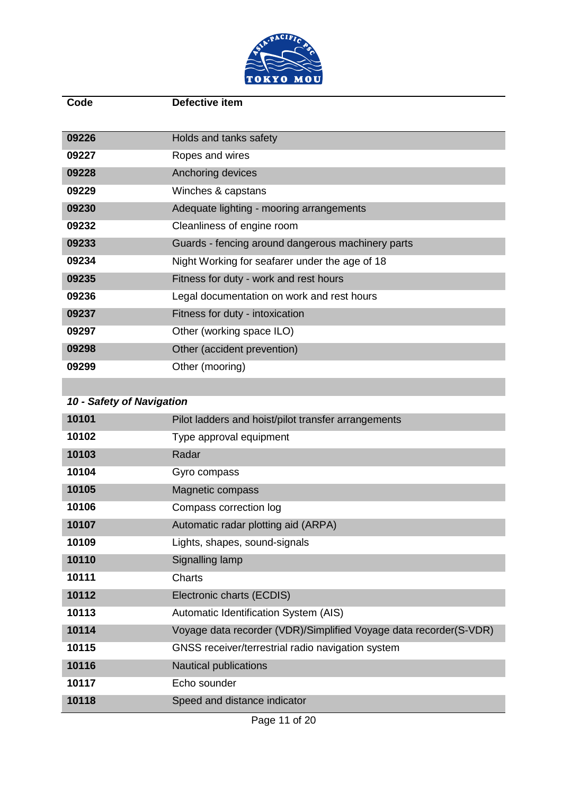

| Code  | Defective item                                    |
|-------|---------------------------------------------------|
|       |                                                   |
| 09226 | Holds and tanks safety                            |
| 09227 | Ropes and wires                                   |
| 09228 | Anchoring devices                                 |
| 09229 | Winches & capstans                                |
| 09230 | Adequate lighting - mooring arrangements          |
| 09232 | Cleanliness of engine room                        |
| 09233 | Guards - fencing around dangerous machinery parts |
| 09234 | Night Working for seafarer under the age of 18    |
| 09235 | Fitness for duty - work and rest hours            |
| 09236 | Legal documentation on work and rest hours        |
| 09237 | Fitness for duty - intoxication                   |
| 09297 | Other (working space ILO)                         |
| 09298 | Other (accident prevention)                       |
| 09299 | Other (mooring)                                   |

| 10 - Safety of Navigation |                                                                   |
|---------------------------|-------------------------------------------------------------------|
| 10101                     | Pilot ladders and hoist/pilot transfer arrangements               |
| 10102                     | Type approval equipment                                           |
| 10103                     | Radar                                                             |
| 10104                     | Gyro compass                                                      |
| 10105                     | Magnetic compass                                                  |
| 10106                     | Compass correction log                                            |
| 10107                     | Automatic radar plotting aid (ARPA)                               |
| 10109                     | Lights, shapes, sound-signals                                     |
| 10110                     | Signalling lamp                                                   |
| 10111                     | Charts                                                            |
| 10112                     | Electronic charts (ECDIS)                                         |
| 10113                     | Automatic Identification System (AIS)                             |
| 10114                     | Voyage data recorder (VDR)/Simplified Voyage data recorder(S-VDR) |
| 10115                     | GNSS receiver/terrestrial radio navigation system                 |
| 10116                     | <b>Nautical publications</b>                                      |
| 10117                     | Echo sounder                                                      |
| 10118                     | Speed and distance indicator                                      |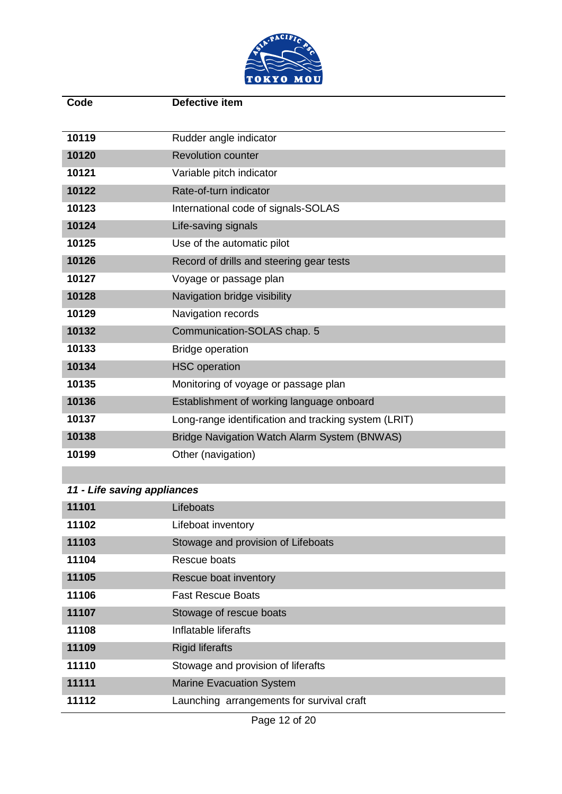

| Code  | <b>Defective item</b>                                |
|-------|------------------------------------------------------|
| 10119 | Rudder angle indicator                               |
| 10120 | <b>Revolution counter</b>                            |
| 10121 | Variable pitch indicator                             |
| 10122 | Rate-of-turn indicator                               |
| 10123 | International code of signals-SOLAS                  |
| 10124 | Life-saving signals                                  |
| 10125 | Use of the automatic pilot                           |
| 10126 | Record of drills and steering gear tests             |
| 10127 | Voyage or passage plan                               |
| 10128 | Navigation bridge visibility                         |
| 10129 | Navigation records                                   |
| 10132 | Communication-SOLAS chap. 5                          |
| 10133 | <b>Bridge operation</b>                              |
| 10134 | <b>HSC</b> operation                                 |
| 10135 | Monitoring of voyage or passage plan                 |
| 10136 | Establishment of working language onboard            |
| 10137 | Long-range identification and tracking system (LRIT) |
| 10138 | Bridge Navigation Watch Alarm System (BNWAS)         |
| 10199 | Other (navigation)                                   |

### *11 - Life saving appliances*

| 11101 | Lifeboats                                 |
|-------|-------------------------------------------|
| 11102 | Lifeboat inventory                        |
| 11103 | Stowage and provision of Lifeboats        |
| 11104 | Rescue boats                              |
| 11105 | Rescue boat inventory                     |
| 11106 | <b>Fast Rescue Boats</b>                  |
| 11107 | Stowage of rescue boats                   |
| 11108 | Inflatable liferafts                      |
| 11109 | <b>Rigid liferafts</b>                    |
| 11110 | Stowage and provision of liferafts        |
| 11111 | <b>Marine Evacuation System</b>           |
| 11112 | Launching arrangements for survival craft |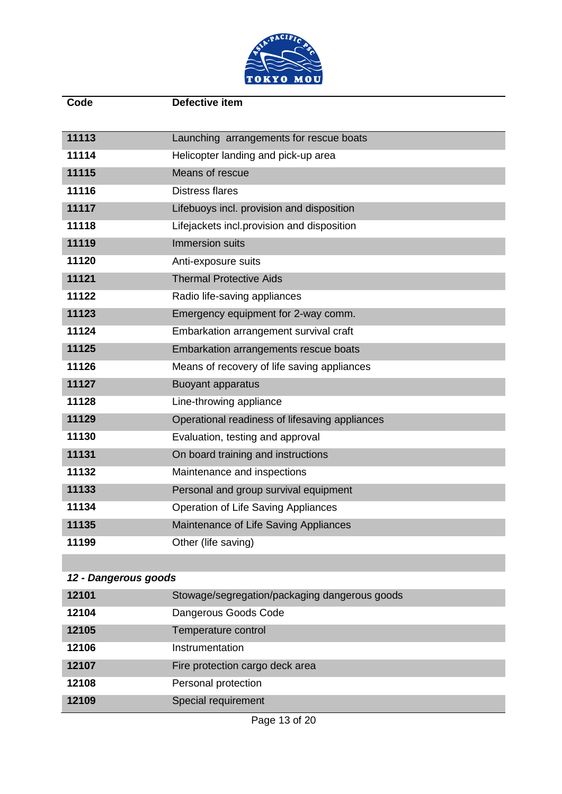

| Code                 | Defective item                                 |
|----------------------|------------------------------------------------|
|                      |                                                |
| 11113                | Launching arrangements for rescue boats        |
| 11114                | Helicopter landing and pick-up area            |
| 11115                | Means of rescue                                |
| 11116                | <b>Distress flares</b>                         |
| 11117                | Lifebuoys incl. provision and disposition      |
| 11118                | Lifejackets incl.provision and disposition     |
| 11119                | Immersion suits                                |
| 11120                | Anti-exposure suits                            |
| 11121                | <b>Thermal Protective Aids</b>                 |
| 11122                | Radio life-saving appliances                   |
| 11123                | Emergency equipment for 2-way comm.            |
| 11124                | Embarkation arrangement survival craft         |
| 11125                | Embarkation arrangements rescue boats          |
| 11126                | Means of recovery of life saving appliances    |
| 11127                | <b>Buoyant apparatus</b>                       |
| 11128                | Line-throwing appliance                        |
| 11129                | Operational readiness of lifesaving appliances |
| 11130                | Evaluation, testing and approval               |
| 11131                | On board training and instructions             |
| 11132                | Maintenance and inspections                    |
| 11133                | Personal and group survival equipment          |
| 11134                | Operation of Life Saving Appliances            |
| 11135                | Maintenance of Life Saving Appliances          |
| 11199                | Other (life saving)                            |
|                      |                                                |
| 12 - Dangerous goods |                                                |
| 12101                | Stowage/segregation/packaging dangerous goods  |
| 12104                | Dangerous Goods Code                           |
| 12105                | Temperature control                            |
| 12106                | Instrumentation                                |
| 12107                | Fire protection cargo deck area                |
| 12108                | Personal protection                            |
| 12109                | Special requirement                            |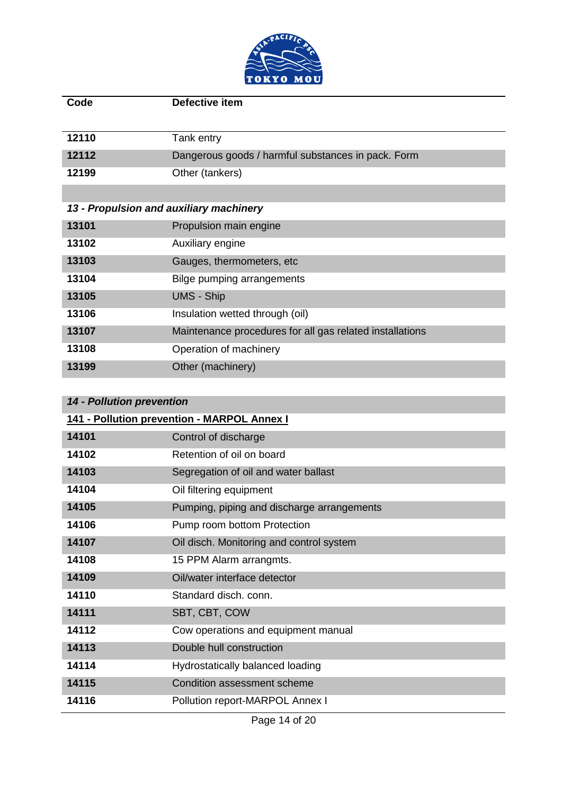

| Code                                        | Defective item                                           |
|---------------------------------------------|----------------------------------------------------------|
|                                             |                                                          |
| 12110                                       | Tank entry                                               |
| 12112                                       | Dangerous goods / harmful substances in pack. Form       |
| 12199                                       | Other (tankers)                                          |
|                                             |                                                          |
|                                             | 13 - Propulsion and auxiliary machinery                  |
| 13101                                       | Propulsion main engine                                   |
| 13102                                       | Auxiliary engine                                         |
| 13103                                       | Gauges, thermometers, etc                                |
| 13104                                       | <b>Bilge pumping arrangements</b>                        |
| 13105                                       | <b>UMS - Ship</b>                                        |
| 13106                                       | Insulation wetted through (oil)                          |
| 13107                                       | Maintenance procedures for all gas related installations |
| 13108                                       | Operation of machinery                                   |
| 13199                                       | Other (machinery)                                        |
|                                             |                                                          |
| <b>14 - Pollution prevention</b>            |                                                          |
| 141 - Pollution prevention - MARPOL Annex I |                                                          |
| 4 A 4 O 4                                   | Control of diocharge                                     |

| 14101 | Control of discharge                       |
|-------|--------------------------------------------|
| 14102 | Retention of oil on board                  |
| 14103 | Segregation of oil and water ballast       |
| 14104 | Oil filtering equipment                    |
| 14105 | Pumping, piping and discharge arrangements |
| 14106 | Pump room bottom Protection                |
| 14107 | Oil disch. Monitoring and control system   |
| 14108 | 15 PPM Alarm arrangmts.                    |
| 14109 | Oil/water interface detector               |
| 14110 | Standard disch. conn.                      |
| 14111 | SBT, CBT, COW                              |
| 14112 | Cow operations and equipment manual        |
| 14113 | Double hull construction                   |
| 14114 | Hydrostatically balanced loading           |
| 14115 | Condition assessment scheme                |
| 14116 | Pollution report-MARPOL Annex I            |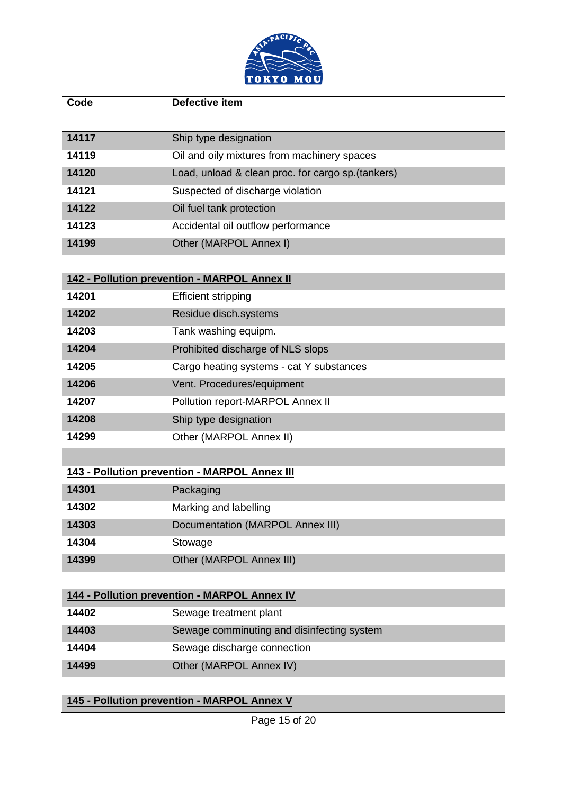

| Code  | Defective item                                      |
|-------|-----------------------------------------------------|
|       |                                                     |
| 14117 | Ship type designation                               |
| 14119 | Oil and oily mixtures from machinery spaces         |
| 14120 | Load, unload & clean proc. for cargo sp. (tankers)  |
| 14121 | Suspected of discharge violation                    |
| 14122 | Oil fuel tank protection                            |
| 14123 | Accidental oil outflow performance                  |
| 14199 | Other (MARPOL Annex I)                              |
|       |                                                     |
|       | 142 - Pollution prevention - MARPOL Annex II        |
| 14201 | <b>Efficient stripping</b>                          |
| 14202 | Residue disch.systems                               |
| 14203 | Tank washing equipm.                                |
| 14204 | Prohibited discharge of NLS slops                   |
| 14205 | Cargo heating systems - cat Y substances            |
| 14206 | Vent. Procedures/equipment                          |
| 14207 | Pollution report-MARPOL Annex II                    |
| 14208 | Ship type designation                               |
| 14299 | Other (MARPOL Annex II)                             |
|       |                                                     |
|       | 143 - Pollution prevention - MARPOL Annex III       |
| 14301 | Packaging                                           |
| 14302 | Marking and labelling                               |
| 14303 | <b>Documentation (MARPOL Annex III)</b>             |
| 14304 | Stowage                                             |
| 14399 | Other (MARPOL Annex III)                            |
|       |                                                     |
|       | <b>144 - Pollution prevention - MARPOL Annex IV</b> |
| 14402 | Sewage treatment plant                              |
| 14403 | Sewage comminuting and disinfecting system          |
| 14404 | Sewage discharge connection                         |
| 14499 | Other (MARPOL Annex IV)                             |
|       |                                                     |

**145 - Pollution prevention - MARPOL Annex V**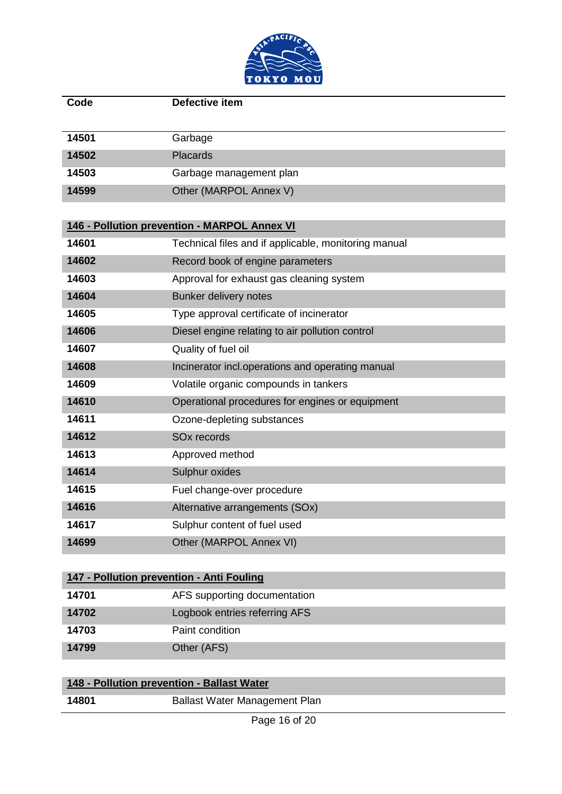

| Code  | Defective item                                       |
|-------|------------------------------------------------------|
|       |                                                      |
| 14501 | Garbage                                              |
| 14502 | <b>Placards</b>                                      |
| 14503 | Garbage management plan                              |
| 14599 | Other (MARPOL Annex V)                               |
|       |                                                      |
|       | 146 - Pollution prevention - MARPOL Annex VI         |
| 14601 | Technical files and if applicable, monitoring manual |
| 14602 | Record book of engine parameters                     |
| 14603 | Approval for exhaust gas cleaning system             |
| 14604 | <b>Bunker delivery notes</b>                         |
| 14605 | Type approval certificate of incinerator             |
| 14606 | Diesel engine relating to air pollution control      |
| 14607 | Quality of fuel oil                                  |
| 14608 | Incinerator incl.operations and operating manual     |
| 14609 | Volatile organic compounds in tankers                |
| 14610 | Operational procedures for engines or equipment      |
| 14611 | Ozone-depleting substances                           |
| 14612 | SO <sub>x</sub> records                              |
| 14613 | Approved method                                      |
| 14614 | Sulphur oxides                                       |
| 14615 | Fuel change-over procedure                           |
| 14616 | Alternative arrangements (SOx)                       |
| 14617 | Sulphur content of fuel used                         |
| 14699 | Other (MARPOL Annex VI)                              |
|       |                                                      |
|       | 147 - Pollution prevention - Anti Fouling            |
| 14701 | AFS supporting documentation                         |
| 14702 | Logbook entries referring AFS                        |
| 14703 | Paint condition                                      |
| 14799 | Other (AFS)                                          |
|       |                                                      |
|       | 148 - Pollution prevention - Ballast Water           |
| 14801 | <b>Ballast Water Management Plan</b>                 |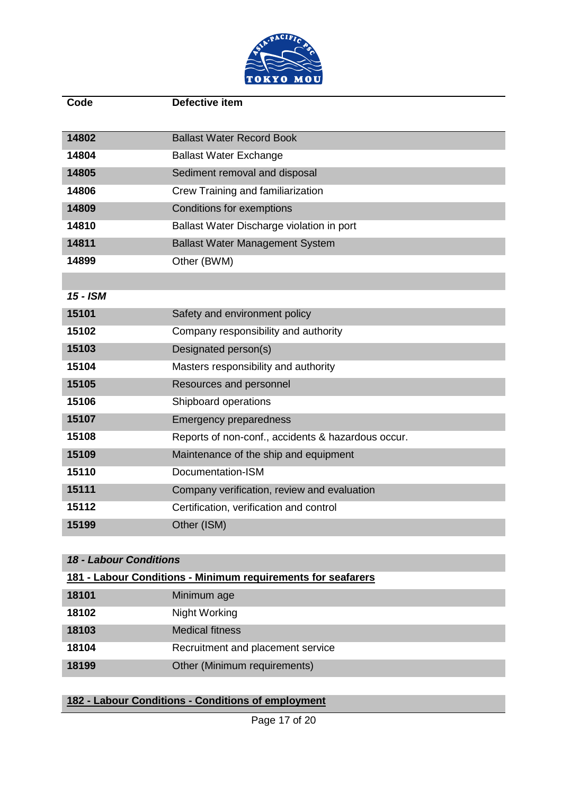

| Code     | Defective item                                     |
|----------|----------------------------------------------------|
|          |                                                    |
| 14802    | <b>Ballast Water Record Book</b>                   |
| 14804    | <b>Ballast Water Exchange</b>                      |
| 14805    | Sediment removal and disposal                      |
| 14806    | Crew Training and familiarization                  |
| 14809    | <b>Conditions for exemptions</b>                   |
| 14810    | Ballast Water Discharge violation in port          |
| 14811    | <b>Ballast Water Management System</b>             |
| 14899    | Other (BWM)                                        |
|          |                                                    |
| 15 - ISM |                                                    |
| 15101    | Safety and environment policy                      |
| 15102    | Company responsibility and authority               |
| 15103    | Designated person(s)                               |
| 15104    | Masters responsibility and authority               |
| 15105    | Resources and personnel                            |
| 15106    | Shipboard operations                               |
| 15107    | <b>Emergency preparedness</b>                      |
| 15108    | Reports of non-conf., accidents & hazardous occur. |
| 15109    | Maintenance of the ship and equipment              |
| 15110    | Documentation-ISM                                  |
| 15111    | Company verification, review and evaluation        |
| 15112    | Certification, verification and control            |
| 15199    | Other (ISM)                                        |

#### *18 - Labour Conditions*

| 181 - Labour Conditions - Minimum requirements for seafarers |                                   |  |
|--------------------------------------------------------------|-----------------------------------|--|
| 18101                                                        | Minimum age                       |  |
| 18102                                                        | Night Working                     |  |
| 18103                                                        | <b>Medical fitness</b>            |  |
| 18104                                                        | Recruitment and placement service |  |
| 18199                                                        | Other (Minimum requirements)      |  |

## **182 - Labour Conditions - Conditions of employment**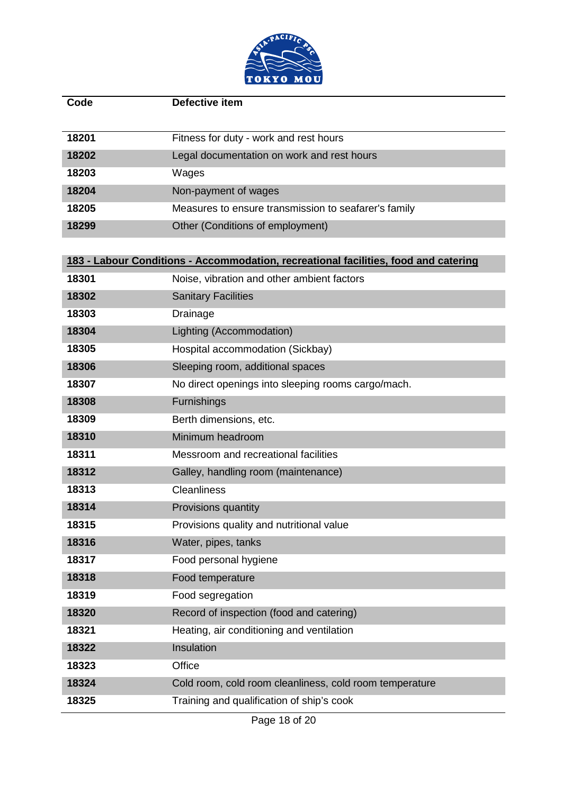

| Code  | Defective item                                                                      |
|-------|-------------------------------------------------------------------------------------|
| 18201 | Fitness for duty - work and rest hours                                              |
| 18202 | Legal documentation on work and rest hours                                          |
| 18203 | Wages                                                                               |
| 18204 | Non-payment of wages                                                                |
| 18205 | Measures to ensure transmission to seafarer's family                                |
| 18299 | Other (Conditions of employment)                                                    |
|       |                                                                                     |
|       | 183 - Labour Conditions - Accommodation, recreational facilities, food and catering |
| 18301 | Noise, vibration and other ambient factors                                          |
| 18302 | <b>Sanitary Facilities</b>                                                          |
| 18303 | <b>Drainage</b>                                                                     |
| 18304 | Lighting (Accommodation)                                                            |
| 18305 | Hospital accommodation (Sickbay)                                                    |
| 18306 | Sleeping room, additional spaces                                                    |
| 18307 | No direct openings into sleeping rooms cargo/mach.                                  |
| 18308 | Furnishings                                                                         |
| 18309 | Berth dimensions, etc.                                                              |
| 18310 | Minimum headroom                                                                    |
| 18311 | Messroom and recreational facilities                                                |
| 18312 | Galley, handling room (maintenance)                                                 |
| 18313 | <b>Cleanliness</b>                                                                  |
| 18314 | Provisions quantity                                                                 |
| 18315 | Provisions quality and nutritional value                                            |
| 18316 | Water, pipes, tanks                                                                 |
| 18317 | Food personal hygiene                                                               |
| 18318 | Food temperature                                                                    |
| 18319 | Food segregation                                                                    |
| 18320 | Record of inspection (food and catering)                                            |
| 18321 | Heating, air conditioning and ventilation                                           |
| 18322 | Insulation                                                                          |
| 18323 | Office                                                                              |
| 18324 | Cold room, cold room cleanliness, cold room temperature                             |
| 18325 | Training and qualification of ship's cook                                           |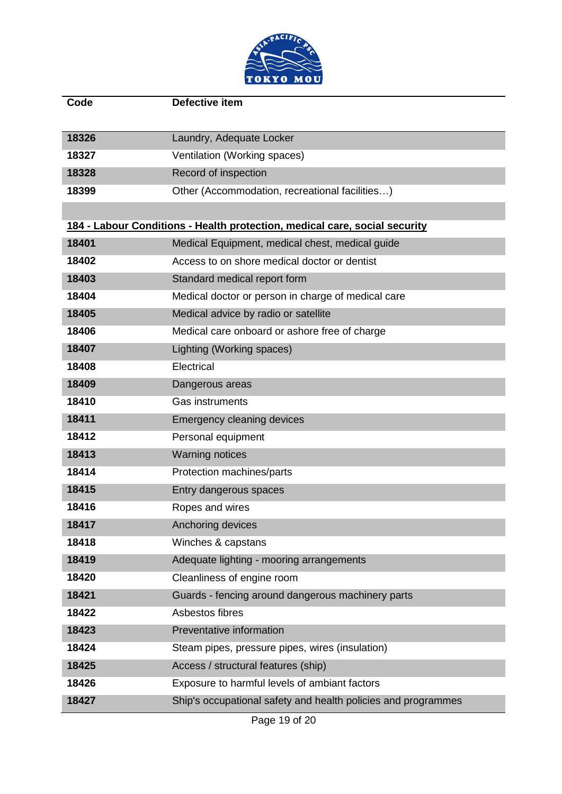

| Code                                                                       | <b>Defective item</b>                                         |  |
|----------------------------------------------------------------------------|---------------------------------------------------------------|--|
| 18326                                                                      | Laundry, Adequate Locker                                      |  |
| 18327                                                                      | Ventilation (Working spaces)                                  |  |
| 18328                                                                      | Record of inspection                                          |  |
| 18399                                                                      | Other (Accommodation, recreational facilities)                |  |
|                                                                            |                                                               |  |
| 184 - Labour Conditions - Health protection, medical care, social security |                                                               |  |
| 18401                                                                      | Medical Equipment, medical chest, medical guide               |  |
| 18402                                                                      | Access to on shore medical doctor or dentist                  |  |
| 18403                                                                      | Standard medical report form                                  |  |
| 18404                                                                      | Medical doctor or person in charge of medical care            |  |
| 18405                                                                      | Medical advice by radio or satellite                          |  |
| 18406                                                                      | Medical care onboard or ashore free of charge                 |  |
| 18407                                                                      | Lighting (Working spaces)                                     |  |
| 18408                                                                      | Electrical                                                    |  |
| 18409                                                                      | Dangerous areas                                               |  |
| 18410                                                                      | Gas instruments                                               |  |
| 18411                                                                      | <b>Emergency cleaning devices</b>                             |  |
| 18412                                                                      | Personal equipment                                            |  |
| 18413                                                                      | <b>Warning notices</b>                                        |  |
| 18414                                                                      | Protection machines/parts                                     |  |
| 18415                                                                      | Entry dangerous spaces                                        |  |
| 18416                                                                      | Ropes and wires                                               |  |
| 18417                                                                      | Anchoring devices                                             |  |
| 18418                                                                      | Winches & capstans                                            |  |
| 18419                                                                      | Adequate lighting - mooring arrangements                      |  |
| 18420                                                                      | Cleanliness of engine room                                    |  |
| 18421                                                                      | Guards - fencing around dangerous machinery parts             |  |
| 18422                                                                      | Asbestos fibres                                               |  |
| 18423                                                                      | Preventative information                                      |  |
| 18424                                                                      | Steam pipes, pressure pipes, wires (insulation)               |  |
| 18425                                                                      | Access / structural features (ship)                           |  |
| 18426                                                                      | Exposure to harmful levels of ambiant factors                 |  |
| 18427                                                                      | Ship's occupational safety and health policies and programmes |  |